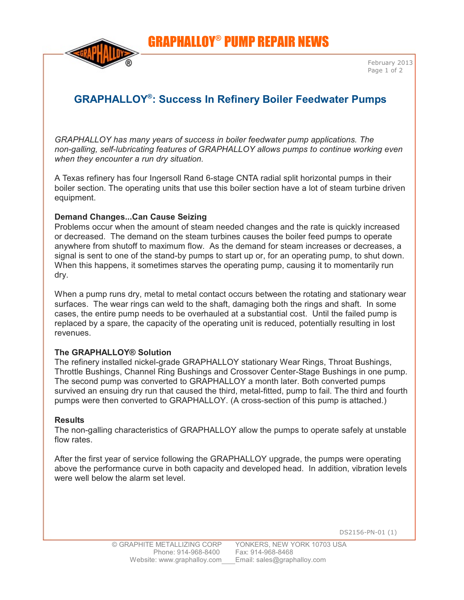GRAPHALLOY® PUMP REPAIR NEWS



## **GRAPHALLOY : Success In ® Refinery Boiler Feedwater Pumps**

*GRAPHALLOY has many years of success in boiler feedwater pump applications. The non-galling, self-lubricating features of GRAPHALLOY allows pumps to continue working even when they encounter a run dry situation.*

A Texas refinery has four Ingersoll Rand 6-stage CNTA radial split horizontal pumps in their boiler section. The operating units that use this boiler section have a lot of steam turbine driven equipment.

## **Demand Changes...Can Cause Seizing**

Problems occur when the amount of steam needed changes and the rate is quickly increased or decreased. The demand on the steam turbines causes the boiler feed pumps to operate anywhere from shutoff to maximum flow. As the demand for steam increases or decreases, a signal is sent to one of the stand-by pumps to start up or, for an operating pump, to shut down. When this happens, it sometimes starves the operating pump, causing it to momentarily run dry.

When a pump runs dry, metal to metal contact occurs between the rotating and stationary wear surfaces. The wear rings can weld to the shaft, damaging both the rings and shaft. In some cases, the entire pump needs to be overhauled at a substantial cost. Until the failed pump is replaced by a spare, the capacity of the operating unit is reduced, potentially resulting in lost revenues.

## **The GRAPHALLOY® Solution**

The refinery installed nickel-grade GRAPHALLOY stationary Wear Rings, Throat Bushings, Throttle Bushings, Channel Ring Bushings and Crossover Center-Stage Bushings in one pump. The second pump was converted to GRAPHALLOY a month later. Both converted pumps survived an ensuing dry run that caused the third, metal-fitted, pump to fail. The third and fourth pumps were then converted to GRAPHALLOY. (A cross-section of this pump is attached.)

## **Results**

The non-galling characteristics of GRAPHALLOY allow the pumps to operate safely at unstable flow rates.

After the first year of service following the GRAPHALLOY upgrade, the pumps were operating above the performance curve in both capacity and developed head. In addition, vibration levels were well below the alarm set level.

DS2156-PN-01 (1)